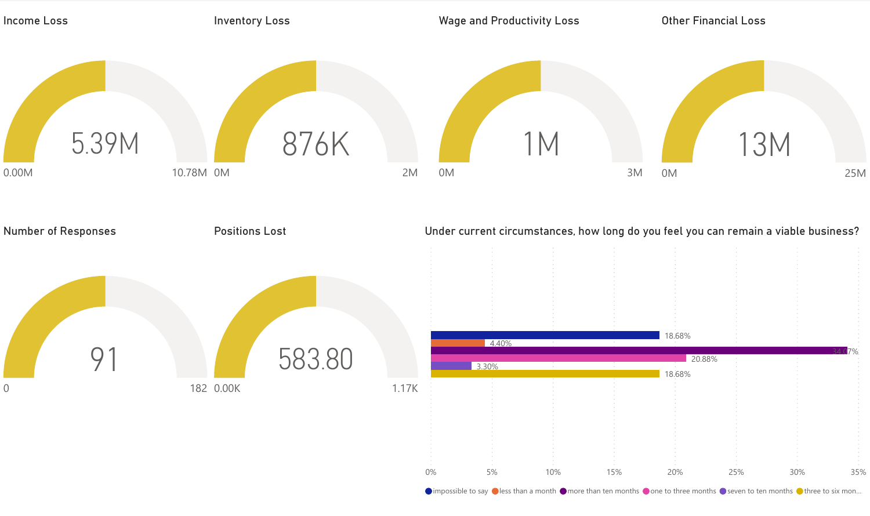

 $\bigcirc$  impossible to say  $\bigcirc$  less than a month  $\bigcirc$  more than ten months  $\bigcirc$  one to three months  $\bigcirc$  seven to ten months  $\bigcirc$  three to six mon...